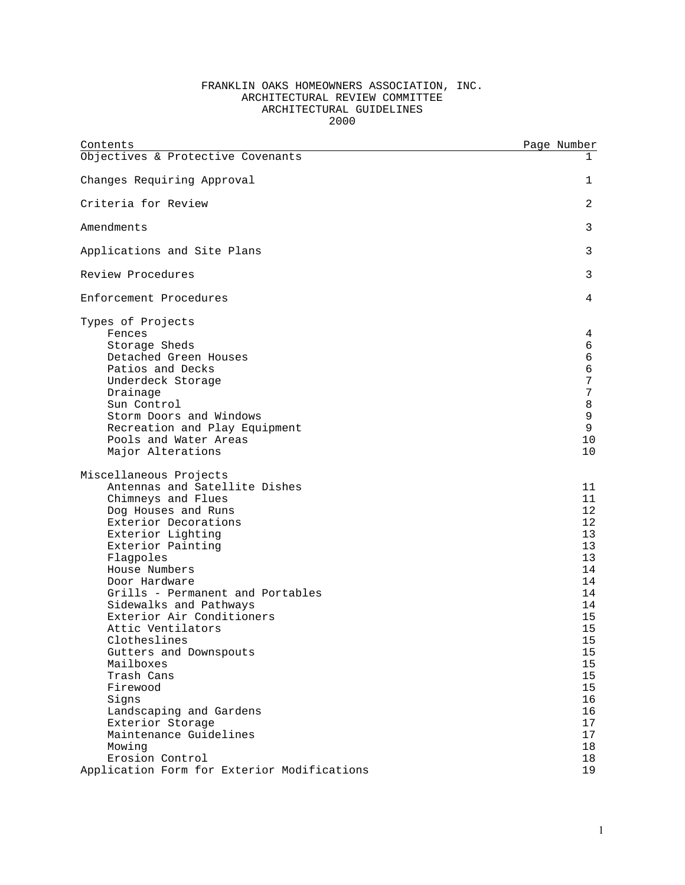## FRANKLIN OAKS HOMEOWNERS ASSOCIATION, INC. ARCHITECTURAL REVIEW COMMITTEE ARCHITECTURAL GUIDELINES 2000

| Contents                                                                                                                                                                                                                                                                                                                                                                                                                                                                                                                              | Page Number                                                                                                                                  |
|---------------------------------------------------------------------------------------------------------------------------------------------------------------------------------------------------------------------------------------------------------------------------------------------------------------------------------------------------------------------------------------------------------------------------------------------------------------------------------------------------------------------------------------|----------------------------------------------------------------------------------------------------------------------------------------------|
| Objectives & Protective Covenants                                                                                                                                                                                                                                                                                                                                                                                                                                                                                                     | 1                                                                                                                                            |
| Changes Requiring Approval                                                                                                                                                                                                                                                                                                                                                                                                                                                                                                            | 1                                                                                                                                            |
| Criteria for Review                                                                                                                                                                                                                                                                                                                                                                                                                                                                                                                   | 2                                                                                                                                            |
| Amendments                                                                                                                                                                                                                                                                                                                                                                                                                                                                                                                            | 3                                                                                                                                            |
| Applications and Site Plans                                                                                                                                                                                                                                                                                                                                                                                                                                                                                                           | 3                                                                                                                                            |
| Review Procedures                                                                                                                                                                                                                                                                                                                                                                                                                                                                                                                     | 3                                                                                                                                            |
| Enforcement Procedures                                                                                                                                                                                                                                                                                                                                                                                                                                                                                                                | 4                                                                                                                                            |
| Types of Projects<br>Fences<br>Storage Sheds<br>Detached Green Houses<br>Patios and Decks<br>Underdeck Storage<br>Drainage<br>Sun Control<br>Storm Doors and Windows<br>Recreation and Play Equipment<br>Pools and Water Areas<br>Major Alterations                                                                                                                                                                                                                                                                                   | 4<br>6<br>6<br>6<br>7<br>7<br>8<br>9<br>9<br>10<br>10                                                                                        |
| Miscellaneous Projects<br>Antennas and Satellite Dishes<br>Chimneys and Flues<br>Dog Houses and Runs<br>Exterior Decorations<br>Exterior Lighting<br>Exterior Painting<br>Flagpoles<br>House Numbers<br>Door Hardware<br>Grills - Permanent and Portables<br>Sidewalks and Pathways<br>Exterior Air Conditioners<br>Attic Ventilators<br>Clotheslines<br>Gutters and Downspouts<br>Mailboxes<br>Trash Cans<br>Firewood<br>Signs<br>Landscaping and Gardens<br>Exterior Storage<br>Maintenance Guidelines<br>Mowing<br>Erosion Control | 11<br>11<br>12<br>12<br>13<br>13<br>13<br>14<br>14<br>14<br>14<br>15<br>15<br>15<br>15<br>15<br>15<br>15<br>16<br>16<br>17<br>17<br>18<br>18 |
| Application Form for Exterior Modifications                                                                                                                                                                                                                                                                                                                                                                                                                                                                                           | 19                                                                                                                                           |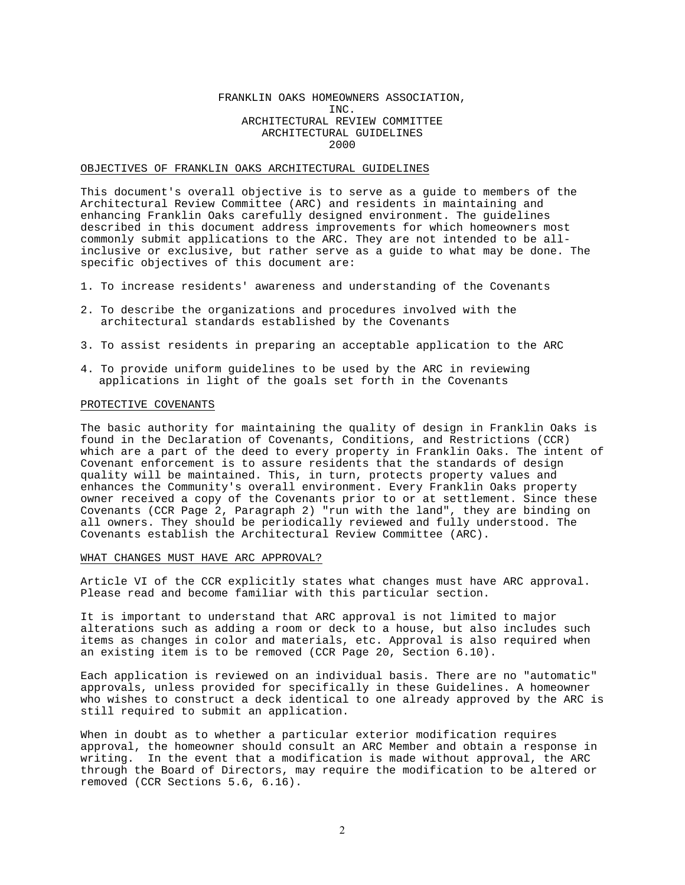### FRANKLIN OAKS HOMEOWNERS ASSOCIATION, INC. ARCHITECTURAL REVIEW COMMITTEE ARCHITECTURAL GUIDELINES 2000

### OBJECTIVES OF FRANKLIN OAKS ARCHITECTURAL GUIDELINES

This document's overall objective is to serve as a guide to members of the Architectural Review Committee (ARC) and residents in maintaining and enhancing Franklin Oaks carefully designed environment. The guidelines described in this document address improvements for which homeowners most commonly submit applications to the ARC. They are not intended to be allinclusive or exclusive, but rather serve as a guide to what may be done. The specific objectives of this document are:

- 1. To increase residents' awareness and understanding of the Covenants
- 2. To describe the organizations and procedures involved with the architectural standards established by the Covenants
- 3. To assist residents in preparing an acceptable application to the ARC
- 4. To provide uniform guidelines to be used by the ARC in reviewing applications in light of the goals set forth in the Covenants

## PROTECTIVE COVENANTS

The basic authority for maintaining the quality of design in Franklin Oaks is found in the Declaration of Covenants, Conditions, and Restrictions (CCR) which are a part of the deed to every property in Franklin Oaks. The intent of Covenant enforcement is to assure residents that the standards of design quality will be maintained. This, in turn, protects property values and enhances the Community's overall environment. Every Franklin Oaks property owner received a copy of the Covenants prior to or at settlement. Since these Covenants (CCR Page 2, Paragraph 2) "run with the land", they are binding on all owners. They should be periodically reviewed and fully understood. The Covenants establish the Architectural Review Committee (ARC).

### WHAT CHANGES MUST HAVE ARC APPROVAL?

Article VI of the CCR explicitly states what changes must have ARC approval. Please read and become familiar with this particular section.

It is important to understand that ARC approval is not limited to major alterations such as adding a room or deck to a house, but also includes such items as changes in color and materials, etc. Approval is also required when an existing item is to be removed (CCR Page 20, Section 6.10).

Each application is reviewed on an individual basis. There are no "automatic" approvals, unless provided for specifically in these Guidelines. A homeowner who wishes to construct a deck identical to one already approved by the ARC is still required to submit an application.

When in doubt as to whether a particular exterior modification requires approval, the homeowner should consult an ARC Member and obtain a response in writing. In the event that a modification is made without approval, the ARC through the Board of Directors, may require the modification to be altered or removed (CCR Sections 5.6, 6.16).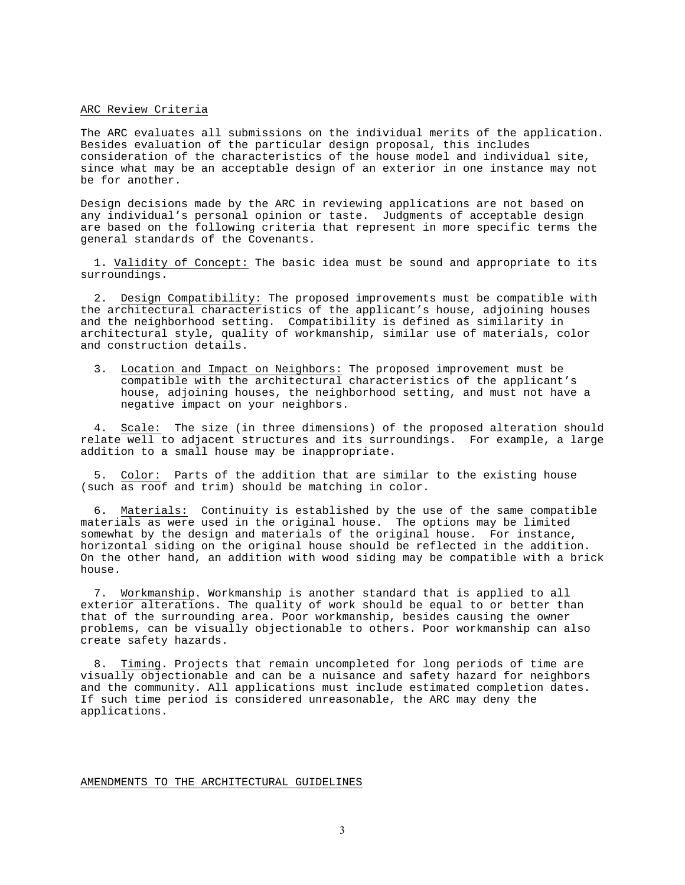### ARC Review Criteria

The ARC evaluates all submissions on the individual merits of the application. Besides evaluation of the particular design proposal, this includes consideration of the characteristics of the house model and individual site, since what may be an acceptable design of an exterior in one instance may not be for another.

Design decisions made by the ARC in reviewing applications are not based on any individual's personal opinion or taste. Judgments of acceptable design are based on the following criteria that represent in more specific terms the general standards of the Covenants.

1. Validity of Concept: The basic idea must be sound and appropriate to its surroundings.

2. Design Compatibility: The proposed improvements must be compatible with the architectural characteristics of the applicant's house, adjoining houses and the neighborhood setting. Compatibility is defined as similarity in architectural style, quality of workmanship, similar use of materials, color and construction details.

3. Location and Impact on Neighbors: The proposed improvement must be compatible with the architectural characteristics of the applicant's house, adjoining houses, the neighborhood setting, and must not have a negative impact on your neighbors.

4. Scale: The size (in three dimensions) of the proposed alteration should relate well to adjacent structures and its surroundings. For example, a large addition to a small house may be inappropriate.

5. Color: Parts of the addition that are similar to the existing house (such as roof and trim) should be matching in color.

6. Materials: Continuity is established by the use of the same compatible materials as were used in the original house. The options may be limited somewhat by the design and materials of the original house. For instance, horizontal siding on the original house should be reflected in the addition. On the other hand, an addition with wood siding may be compatible with a brick house.

7. Workmanship. Workmanship is another standard that is applied to all exterior alterations. The quality of work should be equal to or better than that of the surrounding area. Poor workmanship, besides causing the owner problems, can be visually objectionable to others. Poor workmanship can also create safety hazards.

8. Timing. Projects that remain uncompleted for long periods of time are visually objectionable and can be a nuisance and safety hazard for neighbors and the community. All applications must include estimated completion dates. If such time period is considered unreasonable, the ARC may deny the applications.

AMENDMENTS TO THE ARCHITECTURAL GUIDELINES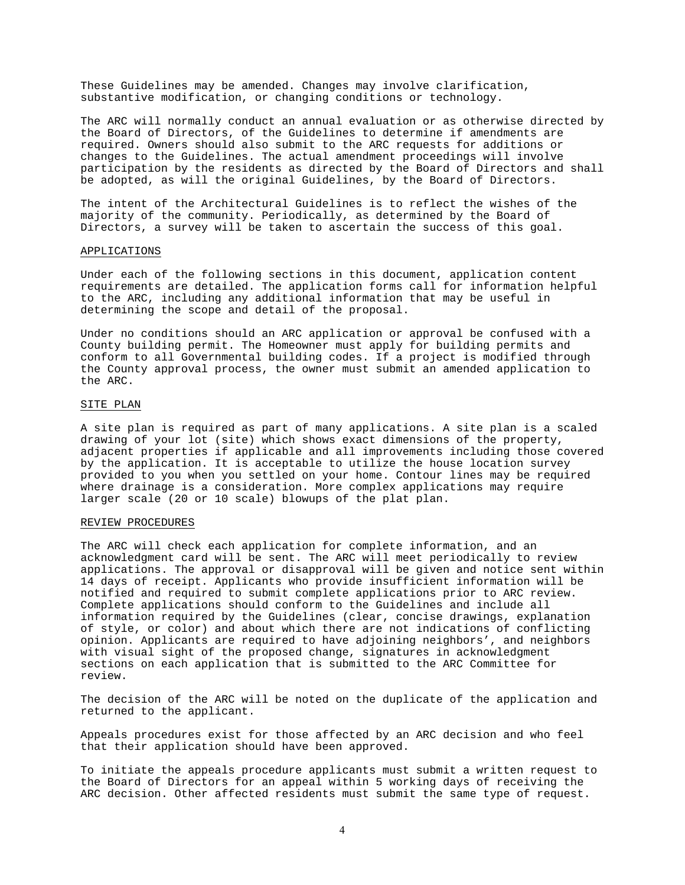These Guidelines may be amended. Changes may involve clarification, substantive modification, or changing conditions or technology.

The ARC will normally conduct an annual evaluation or as otherwise directed by the Board of Directors, of the Guidelines to determine if amendments are required. Owners should also submit to the ARC requests for additions or changes to the Guidelines. The actual amendment proceedings will involve participation by the residents as directed by the Board of Directors and shall be adopted, as will the original Guidelines, by the Board of Directors.

The intent of the Architectural Guidelines is to reflect the wishes of the majority of the community. Periodically, as determined by the Board of Directors, a survey will be taken to ascertain the success of this goal.

### APPLICATIONS

Under each of the following sections in this document, application content requirements are detailed. The application forms call for information helpful to the ARC, including any additional information that may be useful in determining the scope and detail of the proposal.

Under no conditions should an ARC application or approval be confused with a County building permit. The Homeowner must apply for building permits and conform to all Governmental building codes. If a project is modified through the County approval process, the owner must submit an amended application to the ARC.

## SITE PLAN

A site plan is required as part of many applications. A site plan is a scaled drawing of your lot (site) which shows exact dimensions of the property, adjacent properties if applicable and all improvements including those covered by the application. It is acceptable to utilize the house location survey provided to you when you settled on your home. Contour lines may be required where drainage is a consideration. More complex applications may require larger scale (20 or 10 scale) blowups of the plat plan.

### REVIEW PROCEDURES

The ARC will check each application for complete information, and an acknowledgment card will be sent. The ARC will meet periodically to review applications. The approval or disapproval will be given and notice sent within 14 days of receipt. Applicants who provide insufficient information will be notified and required to submit complete applications prior to ARC review. Complete applications should conform to the Guidelines and include all information required by the Guidelines (clear, concise drawings, explanation of style, or color) and about which there are not indications of conflicting opinion. Applicants are required to have adjoining neighbors', and neighbors with visual sight of the proposed change, signatures in acknowledgment sections on each application that is submitted to the ARC Committee for review.

The decision of the ARC will be noted on the duplicate of the application and returned to the applicant.

Appeals procedures exist for those affected by an ARC decision and who feel that their application should have been approved.

To initiate the appeals procedure applicants must submit a written request to the Board of Directors for an appeal within 5 working days of receiving the ARC decision. Other affected residents must submit the same type of request.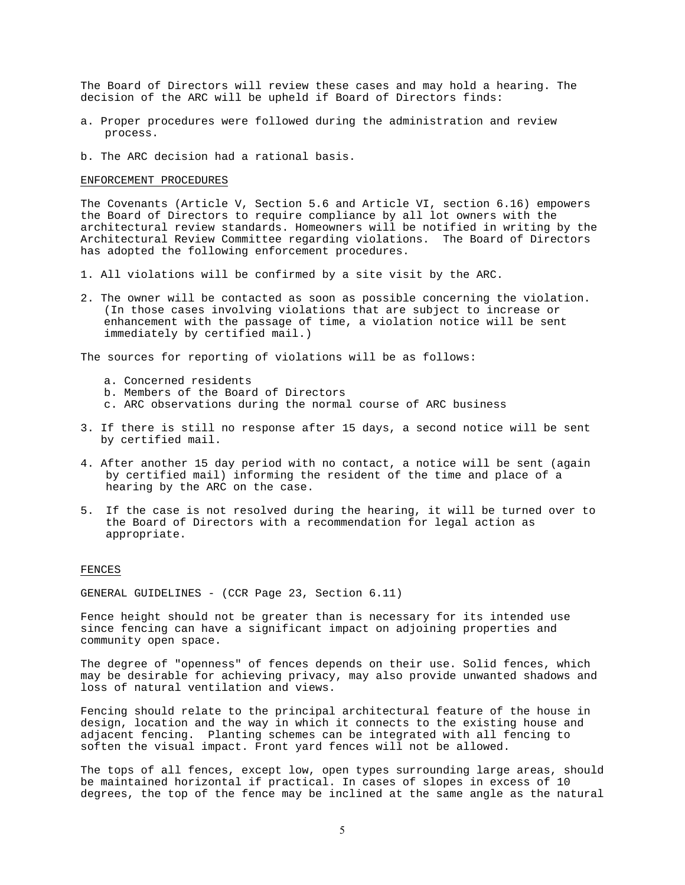The Board of Directors will review these cases and may hold a hearing. The decision of the ARC will be upheld if Board of Directors finds:

- a. Proper procedures were followed during the administration and review process.
- b. The ARC decision had a rational basis.

### ENFORCEMENT PROCEDURES

The Covenants (Article V, Section 5.6 and Article VI, section 6.16) empowers the Board of Directors to require compliance by all lot owners with the architectural review standards. Homeowners will be notified in writing by the Architectural Review Committee regarding violations. The Board of Directors has adopted the following enforcement procedures.

- 1. All violations will be confirmed by a site visit by the ARC.
- 2. The owner will be contacted as soon as possible concerning the violation. (In those cases involving violations that are subject to increase or enhancement with the passage of time, a violation notice will be sent immediately by certified mail.)

The sources for reporting of violations will be as follows:

- a. Concerned residents
- b. Members of the Board of Directors
- c. ARC observations during the normal course of ARC business
- 3. If there is still no response after 15 days, a second notice will be sent by certified mail.
- 4. After another 15 day period with no contact, a notice will be sent (again by certified mail) informing the resident of the time and place of a hearing by the ARC on the case.
- 5. If the case is not resolved during the hearing, it will be turned over to the Board of Directors with a recommendation for legal action as appropriate.

## FENCES

GENERAL GUIDELINES - (CCR Page 23, Section 6.11)

Fence height should not be greater than is necessary for its intended use since fencing can have a significant impact on adjoining properties and community open space.

The degree of "openness" of fences depends on their use. Solid fences, which may be desirable for achieving privacy, may also provide unwanted shadows and loss of natural ventilation and views.

Fencing should relate to the principal architectural feature of the house in design, location and the way in which it connects to the existing house and adjacent fencing. Planting schemes can be integrated with all fencing to soften the visual impact. Front yard fences will not be allowed.

The tops of all fences, except low, open types surrounding large areas, should be maintained horizontal if practical. In cases of slopes in excess of 10 degrees, the top of the fence may be inclined at the same angle as the natural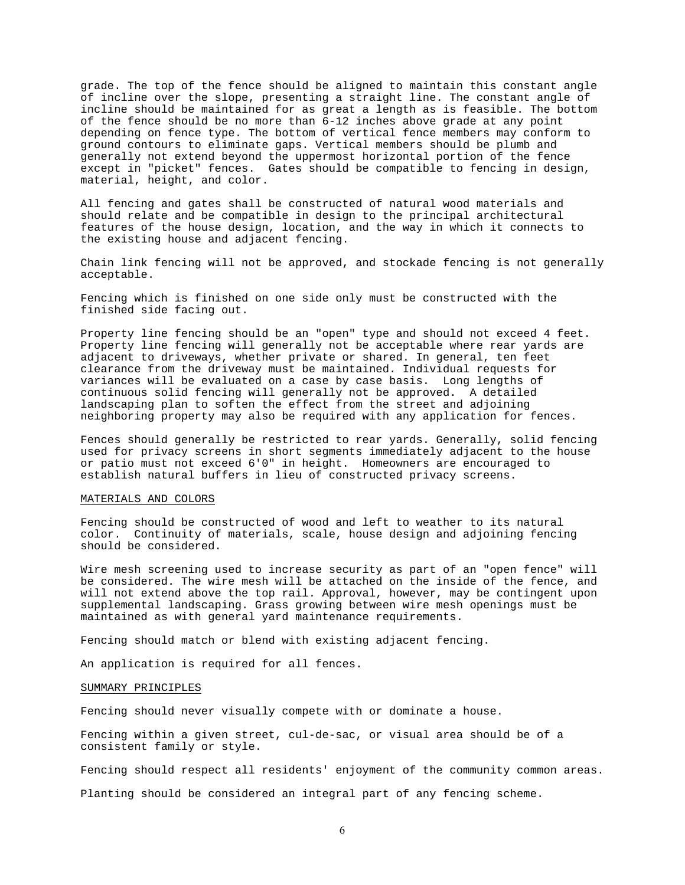grade. The top of the fence should be aligned to maintain this constant angle of incline over the slope, presenting a straight line. The constant angle of incline should be maintained for as great a length as is feasible. The bottom of the fence should be no more than 6-12 inches above grade at any point depending on fence type. The bottom of vertical fence members may conform to ground contours to eliminate gaps. Vertical members should be plumb and generally not extend beyond the uppermost horizontal portion of the fence except in "picket" fences. Gates should be compatible to fencing in design, material, height, and color.

All fencing and gates shall be constructed of natural wood materials and should relate and be compatible in design to the principal architectural features of the house design, location, and the way in which it connects to the existing house and adjacent fencing.

Chain link fencing will not be approved, and stockade fencing is not generally acceptable.

Fencing which is finished on one side only must be constructed with the finished side facing out.

Property line fencing should be an "open" type and should not exceed 4 feet. Property line fencing will generally not be acceptable where rear yards are adjacent to driveways, whether private or shared. In general, ten feet clearance from the driveway must be maintained. Individual requests for variances will be evaluated on a case by case basis. Long lengths of continuous solid fencing will generally not be approved. A detailed landscaping plan to soften the effect from the street and adjoining neighboring property may also be required with any application for fences.

Fences should generally be restricted to rear yards. Generally, solid fencing used for privacy screens in short segments immediately adjacent to the house or patio must not exceed 6'0" in height. Homeowners are encouraged to establish natural buffers in lieu of constructed privacy screens.

### MATERIALS AND COLORS

Fencing should be constructed of wood and left to weather to its natural color. Continuity of materials, scale, house design and adjoining fencing should be considered.

Wire mesh screening used to increase security as part of an "open fence" will be considered. The wire mesh will be attached on the inside of the fence, and will not extend above the top rail. Approval, however, may be contingent upon supplemental landscaping. Grass growing between wire mesh openings must be maintained as with general yard maintenance requirements.

Fencing should match or blend with existing adjacent fencing.

An application is required for all fences.

### SUMMARY PRINCIPLES

Fencing should never visually compete with or dominate a house.

Fencing within a given street, cul-de-sac, or visual area should be of a consistent family or style.

Fencing should respect all residents' enjoyment of the community common areas.

Planting should be considered an integral part of any fencing scheme.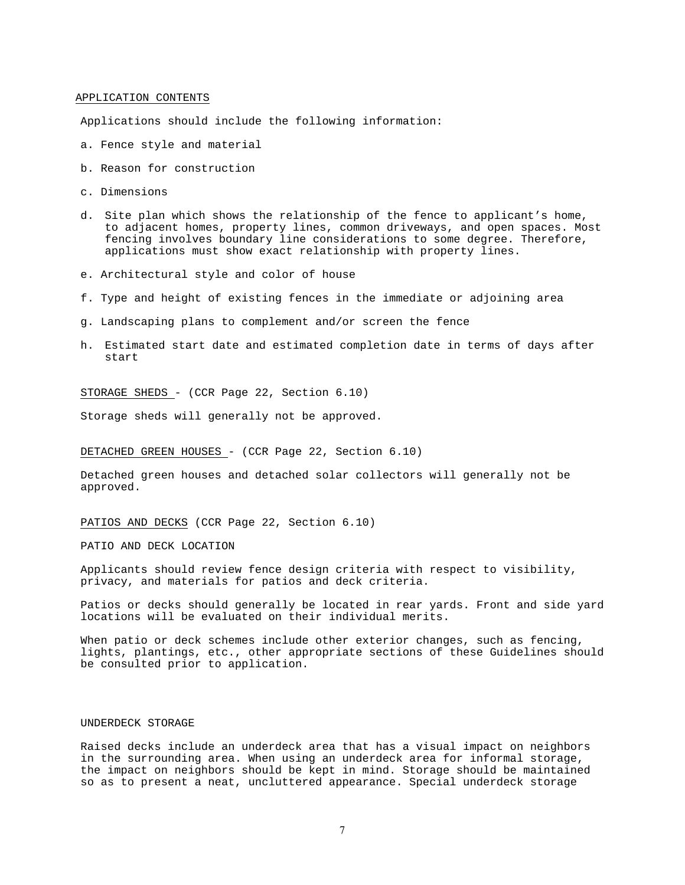### APPLICATION CONTENTS

Applications should include the following information:

- a. Fence style and material
- b. Reason for construction
- c. Dimensions
- d. Site plan which shows the relationship of the fence to applicant's home, to adjacent homes, property lines, common driveways, and open spaces. Most fencing involves boundary line considerations to some degree. Therefore, applications must show exact relationship with property lines.
- e. Architectural style and color of house
- f. Type and height of existing fences in the immediate or adjoining area
- g. Landscaping plans to complement and/or screen the fence
- h. Estimated start date and estimated completion date in terms of days after start

STORAGE SHEDS - (CCR Page 22, Section 6.10)

Storage sheds will generally not be approved.

### DETACHED GREEN HOUSES - (CCR Page 22, Section 6.10)

Detached green houses and detached solar collectors will generally not be approved.

PATIOS AND DECKS (CCR Page 22, Section 6.10)

PATIO AND DECK LOCATION

Applicants should review fence design criteria with respect to visibility, privacy, and materials for patios and deck criteria.

Patios or decks should generally be located in rear yards. Front and side yard locations will be evaluated on their individual merits.

When patio or deck schemes include other exterior changes, such as fencing, lights, plantings, etc., other appropriate sections of these Guidelines should be consulted prior to application.

#### UNDERDECK STORAGE

Raised decks include an underdeck area that has a visual impact on neighbors in the surrounding area. When using an underdeck area for informal storage, the impact on neighbors should be kept in mind. Storage should be maintained so as to present a neat, uncluttered appearance. Special underdeck storage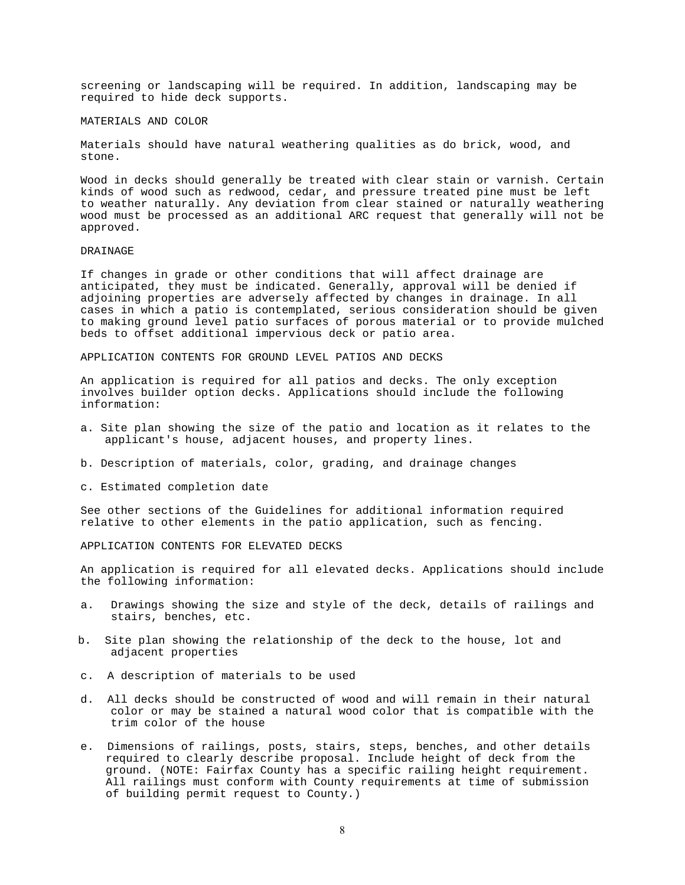screening or landscaping will be required. In addition, landscaping may be required to hide deck supports.

### MATERIALS AND COLOR

Materials should have natural weathering qualities as do brick, wood, and stone.

Wood in decks should generally be treated with clear stain or varnish. Certain kinds of wood such as redwood, cedar, and pressure treated pine must be left to weather naturally. Any deviation from clear stained or naturally weathering wood must be processed as an additional ARC request that generally will not be approved.

### DRAINAGE

If changes in grade or other conditions that will affect drainage are anticipated, they must be indicated. Generally, approval will be denied if adjoining properties are adversely affected by changes in drainage. In all cases in which a patio is contemplated, serious consideration should be given to making ground level patio surfaces of porous material or to provide mulched beds to offset additional impervious deck or patio area.

APPLICATION CONTENTS FOR GROUND LEVEL PATIOS AND DECKS

An application is required for all patios and decks. The only exception involves builder option decks. Applications should include the following information:

- a. Site plan showing the size of the patio and location as it relates to the applicant's house, adjacent houses, and property lines.
- b. Description of materials, color, grading, and drainage changes
- c. Estimated completion date

See other sections of the Guidelines for additional information required relative to other elements in the patio application, such as fencing.

APPLICATION CONTENTS FOR ELEVATED DECKS

An application is required for all elevated decks. Applications should include the following information:

- a. Drawings showing the size and style of the deck, details of railings and stairs, benches, etc.
- b. Site plan showing the relationship of the deck to the house, lot and adjacent properties
- c. A description of materials to be used
- d. All decks should be constructed of wood and will remain in their natural color or may be stained a natural wood color that is compatible with the trim color of the house
- e. Dimensions of railings, posts, stairs, steps, benches, and other details required to clearly describe proposal. Include height of deck from the ground. (NOTE: Fairfax County has a specific railing height requirement. All railings must conform with County requirements at time of submission of building permit request to County.)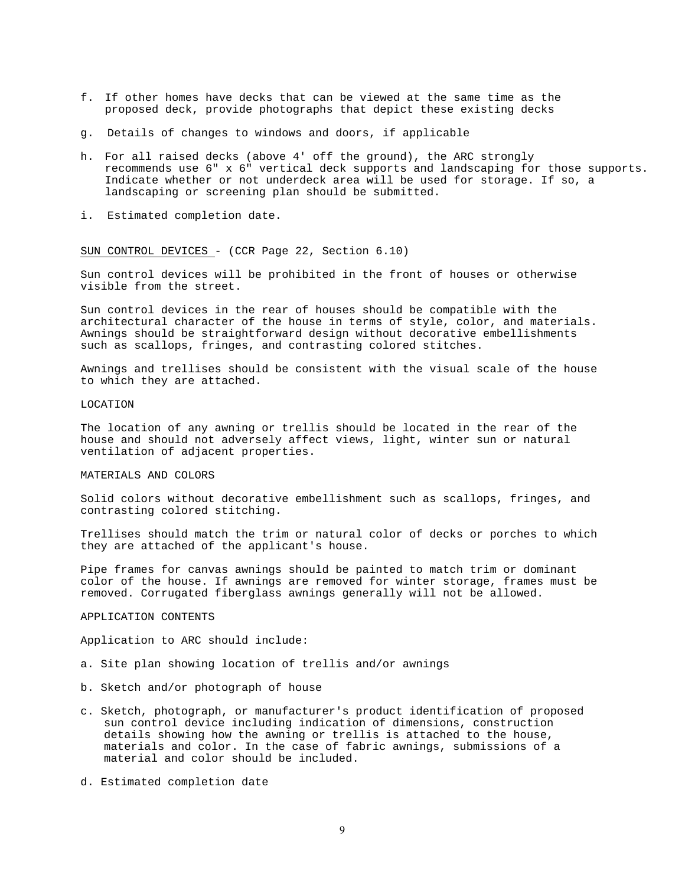- f. If other homes have decks that can be viewed at the same time as the proposed deck, provide photographs that depict these existing decks
- g. Details of changes to windows and doors, if applicable
- h. For all raised decks (above 4' off the ground), the ARC strongly recommends use 6" x 6" vertical deck supports and landscaping for those supports. Indicate whether or not underdeck area will be used for storage. If so, a landscaping or screening plan should be submitted.
- i. Estimated completion date.

SUN CONTROL DEVICES - (CCR Page 22, Section 6.10)

Sun control devices will be prohibited in the front of houses or otherwise visible from the street.

Sun control devices in the rear of houses should be compatible with the architectural character of the house in terms of style, color, and materials. Awnings should be straightforward design without decorative embellishments such as scallops, fringes, and contrasting colored stitches.

Awnings and trellises should be consistent with the visual scale of the house to which they are attached.

### LOCATION

The location of any awning or trellis should be located in the rear of the house and should not adversely affect views, light, winter sun or natural ventilation of adjacent properties.

### MATERIALS AND COLORS

Solid colors without decorative embellishment such as scallops, fringes, and contrasting colored stitching.

Trellises should match the trim or natural color of decks or porches to which they are attached of the applicant's house.

Pipe frames for canvas awnings should be painted to match trim or dominant color of the house. If awnings are removed for winter storage, frames must be removed. Corrugated fiberglass awnings generally will not be allowed.

### APPLICATION CONTENTS

Application to ARC should include:

- a. Site plan showing location of trellis and/or awnings
- b. Sketch and/or photograph of house
- c. Sketch, photograph, or manufacturer's product identification of proposed sun control device including indication of dimensions, construction details showing how the awning or trellis is attached to the house, materials and color. In the case of fabric awnings, submissions of a material and color should be included.
- d. Estimated completion date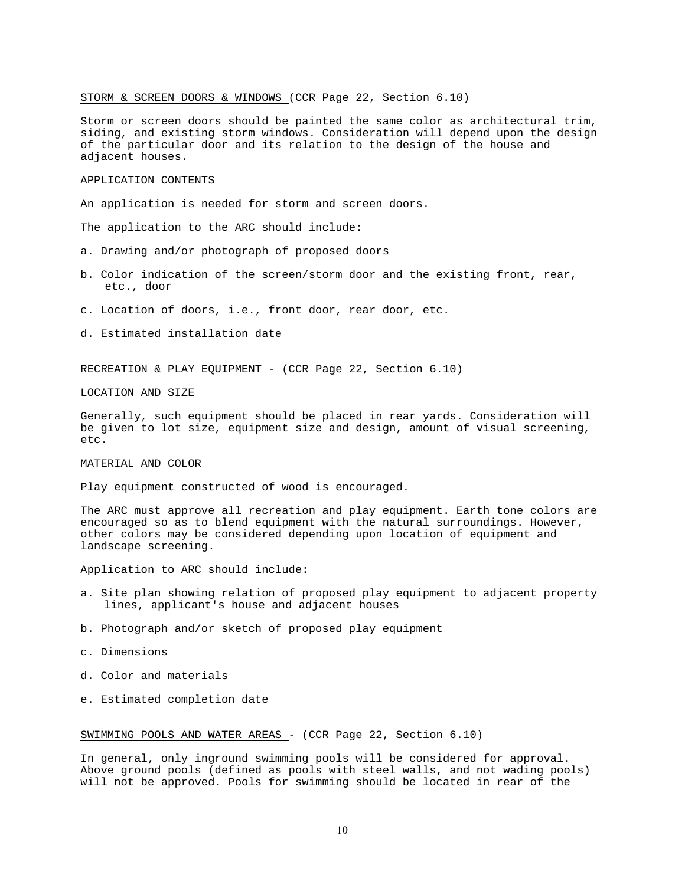### STORM & SCREEN DOORS & WINDOWS (CCR Page 22, Section 6.10)

Storm or screen doors should be painted the same color as architectural trim, siding, and existing storm windows. Consideration will depend upon the design of the particular door and its relation to the design of the house and adjacent houses.

### APPLICATION CONTENTS

An application is needed for storm and screen doors.

The application to the ARC should include:

- a. Drawing and/or photograph of proposed doors
- b. Color indication of the screen/storm door and the existing front, rear, etc., door
- c. Location of doors, i.e., front door, rear door, etc.
- d. Estimated installation date

## RECREATION & PLAY EQUIPMENT - (CCR Page 22, Section 6.10)

LOCATION AND SIZE

Generally, such equipment should be placed in rear yards. Consideration will be given to lot size, equipment size and design, amount of visual screening, etc.

MATERIAL AND COLOR

Play equipment constructed of wood is encouraged.

The ARC must approve all recreation and play equipment. Earth tone colors are encouraged so as to blend equipment with the natural surroundings. However, other colors may be considered depending upon location of equipment and landscape screening.

Application to ARC should include:

- a. Site plan showing relation of proposed play equipment to adjacent property lines, applicant's house and adjacent houses
- b. Photograph and/or sketch of proposed play equipment
- c. Dimensions
- d. Color and materials
- e. Estimated completion date

### SWIMMING POOLS AND WATER AREAS - (CCR Page 22, Section 6.10)

In general, only inground swimming pools will be considered for approval. Above ground pools (defined as pools with steel walls, and not wading pools) will not be approved. Pools for swimming should be located in rear of the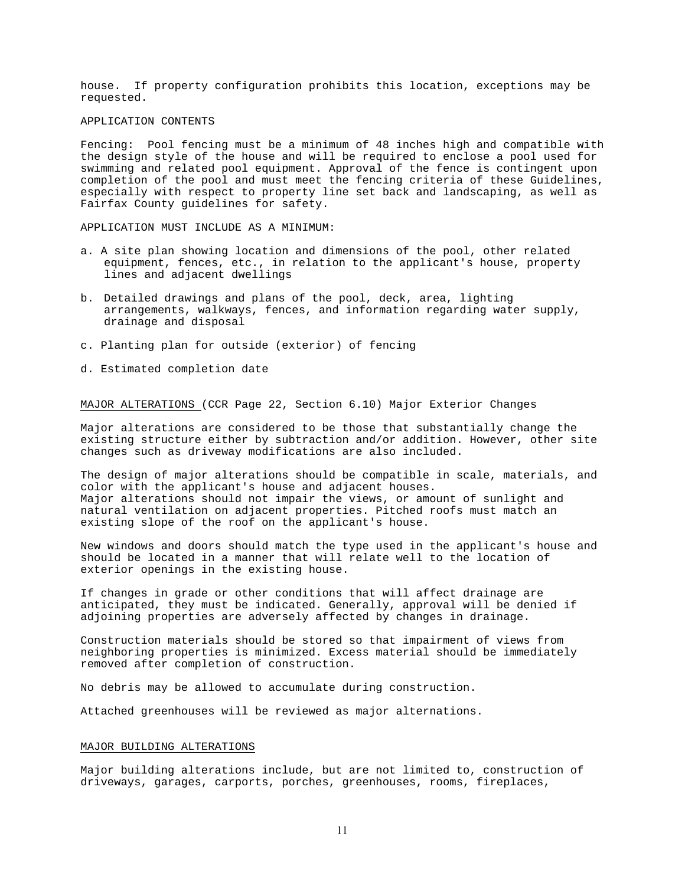house. If property configuration prohibits this location, exceptions may be requested.

### APPLICATION CONTENTS

Fencing: Pool fencing must be a minimum of 48 inches high and compatible with the design style of the house and will be required to enclose a pool used for swimming and related pool equipment. Approval of the fence is contingent upon completion of the pool and must meet the fencing criteria of these Guidelines, especially with respect to property line set back and landscaping, as well as Fairfax County guidelines for safety.

APPLICATION MUST INCLUDE AS A MINIMUM:

- a. A site plan showing location and dimensions of the pool, other related equipment, fences, etc., in relation to the applicant's house, property lines and adjacent dwellings
- b. Detailed drawings and plans of the pool, deck, area, lighting arrangements, walkways, fences, and information regarding water supply, drainage and disposal
- c. Planting plan for outside (exterior) of fencing
- d. Estimated completion date

MAJOR ALTERATIONS (CCR Page 22, Section 6.10) Major Exterior Changes

Major alterations are considered to be those that substantially change the existing structure either by subtraction and/or addition. However, other site changes such as driveway modifications are also included.

The design of major alterations should be compatible in scale, materials, and color with the applicant's house and adjacent houses. Major alterations should not impair the views, or amount of sunlight and natural ventilation on adjacent properties. Pitched roofs must match an existing slope of the roof on the applicant's house.

New windows and doors should match the type used in the applicant's house and should be located in a manner that will relate well to the location of exterior openings in the existing house.

If changes in grade or other conditions that will affect drainage are anticipated, they must be indicated. Generally, approval will be denied if adjoining properties are adversely affected by changes in drainage.

Construction materials should be stored so that impairment of views from neighboring properties is minimized. Excess material should be immediately removed after completion of construction.

No debris may be allowed to accumulate during construction.

Attached greenhouses will be reviewed as major alternations.

#### MAJOR BUILDING ALTERATIONS

Major building alterations include, but are not limited to, construction of driveways, garages, carports, porches, greenhouses, rooms, fireplaces,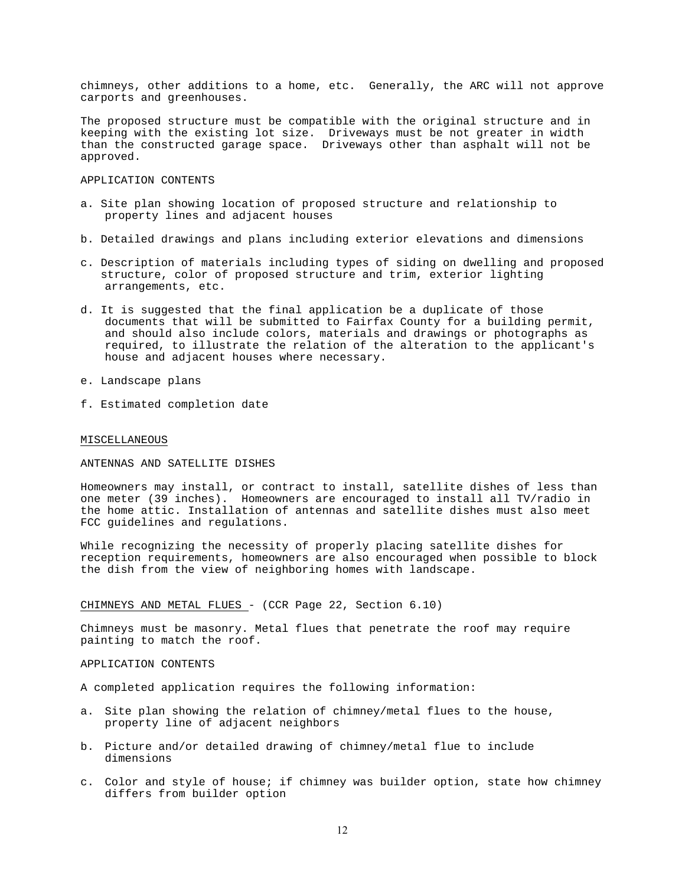chimneys, other additions to a home, etc. Generally, the ARC will not approve carports and greenhouses.

The proposed structure must be compatible with the original structure and in keeping with the existing lot size. Driveways must be not greater in width than the constructed garage space. Driveways other than asphalt will not be approved.

### APPLICATION CONTENTS

- a. Site plan showing location of proposed structure and relationship to property lines and adjacent houses
- b. Detailed drawings and plans including exterior elevations and dimensions
- c. Description of materials including types of siding on dwelling and proposed structure, color of proposed structure and trim, exterior lighting arrangements, etc.
- d. It is suggested that the final application be a duplicate of those documents that will be submitted to Fairfax County for a building permit, and should also include colors, materials and drawings or photographs as required, to illustrate the relation of the alteration to the applicant's house and adjacent houses where necessary.
- e. Landscape plans
- f. Estimated completion date

#### MISCELLANEOUS

### ANTENNAS AND SATELLITE DISHES

Homeowners may install, or contract to install, satellite dishes of less than one meter (39 inches). Homeowners are encouraged to install all TV/radio in the home attic. Installation of antennas and satellite dishes must also meet FCC guidelines and regulations.

While recognizing the necessity of properly placing satellite dishes for reception requirements, homeowners are also encouraged when possible to block the dish from the view of neighboring homes with landscape.

CHIMNEYS AND METAL FLUES - (CCR Page 22, Section 6.10)

Chimneys must be masonry. Metal flues that penetrate the roof may require painting to match the roof.

## APPLICATION CONTENTS

A completed application requires the following information:

- a. Site plan showing the relation of chimney/metal flues to the house, property line of adjacent neighbors
- b. Picture and/or detailed drawing of chimney/metal flue to include dimensions
- c. Color and style of house; if chimney was builder option, state how chimney differs from builder option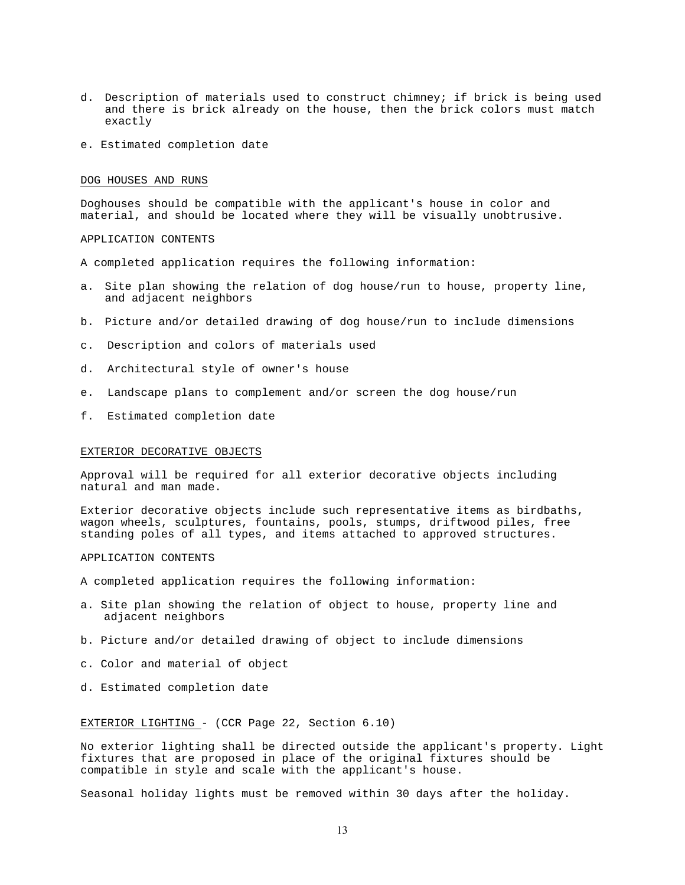- d. Description of materials used to construct chimney; if brick is being used and there is brick already on the house, then the brick colors must match exactly
- e. Estimated completion date

#### DOG HOUSES AND RUNS

Doghouses should be compatible with the applicant's house in color and material, and should be located where they will be visually unobtrusive.

APPLICATION CONTENTS

- A completed application requires the following information:
- a. Site plan showing the relation of dog house/run to house, property line, and adjacent neighbors
- b. Picture and/or detailed drawing of dog house/run to include dimensions
- c. Description and colors of materials used
- d. Architectural style of owner's house
- e. Landscape plans to complement and/or screen the dog house/run
- f. Estimated completion date

#### EXTERIOR DECORATIVE OBJECTS

Approval will be required for all exterior decorative objects including natural and man made.

Exterior decorative objects include such representative items as birdbaths, wagon wheels, sculptures, fountains, pools, stumps, driftwood piles, free standing poles of all types, and items attached to approved structures.

APPLICATION CONTENTS

A completed application requires the following information:

- a. Site plan showing the relation of object to house, property line and adjacent neighbors
- b. Picture and/or detailed drawing of object to include dimensions
- c. Color and material of object
- d. Estimated completion date

#### EXTERIOR LIGHTING - (CCR Page 22, Section 6.10)

No exterior lighting shall be directed outside the applicant's property. Light fixtures that are proposed in place of the original fixtures should be compatible in style and scale with the applicant's house.

Seasonal holiday lights must be removed within 30 days after the holiday.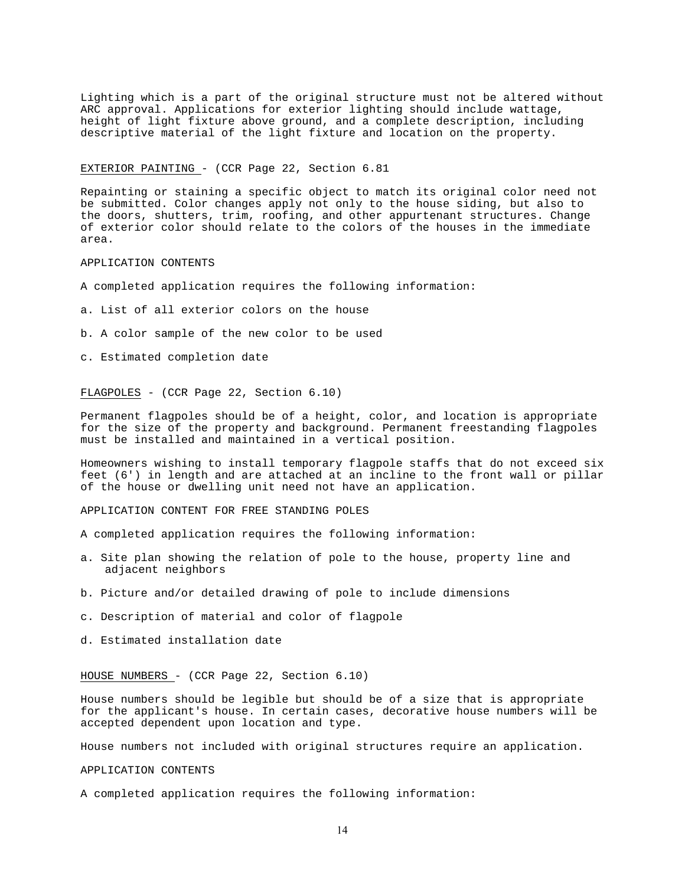Lighting which is a part of the original structure must not be altered without ARC approval. Applications for exterior lighting should include wattage, height of light fixture above ground, and a complete description, including descriptive material of the light fixture and location on the property.

### EXTERIOR PAINTING - (CCR Page 22, Section 6.81

Repainting or staining a specific object to match its original color need not be submitted. Color changes apply not only to the house siding, but also to the doors, shutters, trim, roofing, and other appurtenant structures. Change of exterior color should relate to the colors of the houses in the immediate area.

### APPLICATION CONTENTS

- A completed application requires the following information:
- a. List of all exterior colors on the house
- b. A color sample of the new color to be used
- c. Estimated completion date

### FLAGPOLES - (CCR Page 22, Section 6.10)

Permanent flagpoles should be of a height, color, and location is appropriate for the size of the property and background. Permanent freestanding flagpoles must be installed and maintained in a vertical position.

Homeowners wishing to install temporary flagpole staffs that do not exceed six feet (6') in length and are attached at an incline to the front wall or pillar of the house or dwelling unit need not have an application.

### APPLICATION CONTENT FOR FREE STANDING POLES

- A completed application requires the following information:
- a. Site plan showing the relation of pole to the house, property line and adjacent neighbors
- b. Picture and/or detailed drawing of pole to include dimensions
- c. Description of material and color of flagpole
- d. Estimated installation date

### HOUSE NUMBERS - (CCR Page 22, Section 6.10)

House numbers should be legible but should be of a size that is appropriate for the applicant's house. In certain cases, decorative house numbers will be accepted dependent upon location and type.

House numbers not included with original structures require an application.

### APPLICATION CONTENTS

A completed application requires the following information: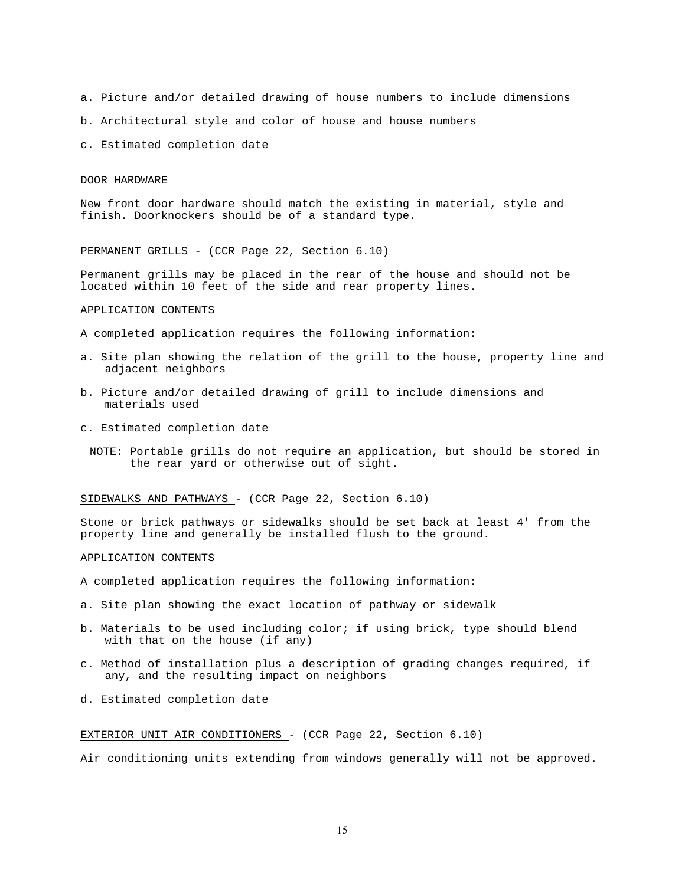a. Picture and/or detailed drawing of house numbers to include dimensions

- b. Architectural style and color of house and house numbers
- c. Estimated completion date

#### DOOR HARDWARE

New front door hardware should match the existing in material, style and finish. Doorknockers should be of a standard type.

PERMANENT GRILLS - (CCR Page 22, Section 6.10)

Permanent grills may be placed in the rear of the house and should not be located within 10 feet of the side and rear property lines.

### APPLICATION CONTENTS

- A completed application requires the following information:
- a. Site plan showing the relation of the grill to the house, property line and adjacent neighbors
- b. Picture and/or detailed drawing of grill to include dimensions and materials used
- c. Estimated completion date
	- NOTE: Portable grills do not require an application, but should be stored in the rear yard or otherwise out of sight.

### SIDEWALKS AND PATHWAYS - (CCR Page 22, Section 6.10)

Stone or brick pathways or sidewalks should be set back at least 4' from the property line and generally be installed flush to the ground.

### APPLICATION CONTENTS

- A completed application requires the following information:
- a. Site plan showing the exact location of pathway or sidewalk
- b. Materials to be used including color; if using brick, type should blend with that on the house (if any)
- c. Method of installation plus a description of grading changes required, if any, and the resulting impact on neighbors
- d. Estimated completion date

## EXTERIOR UNIT AIR CONDITIONERS - (CCR Page 22, Section 6.10)

Air conditioning units extending from windows generally will not be approved.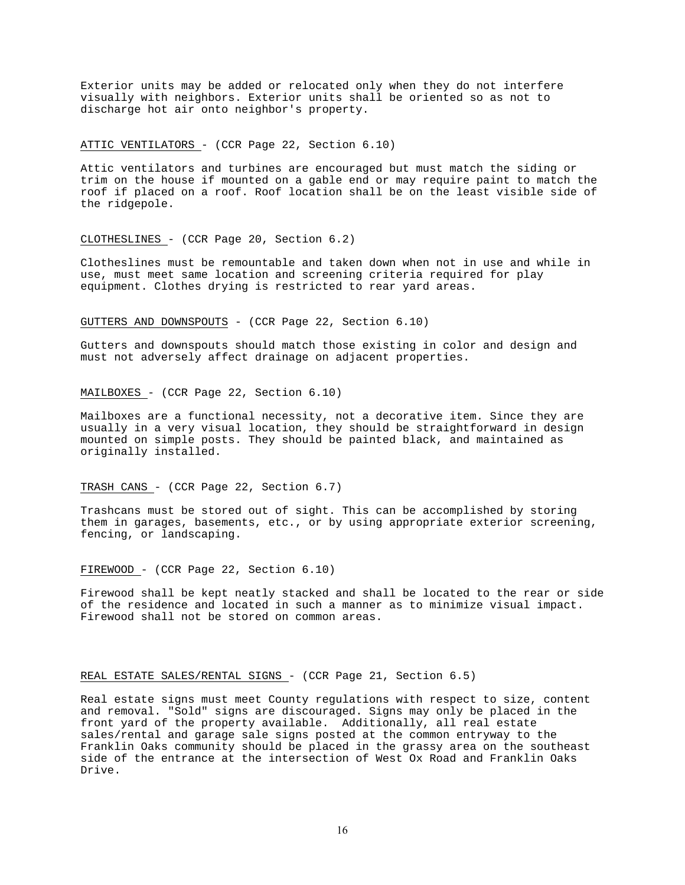Exterior units may be added or relocated only when they do not interfere visually with neighbors. Exterior units shall be oriented so as not to discharge hot air onto neighbor's property.

### ATTIC VENTILATORS - (CCR Page 22, Section 6.10)

Attic ventilators and turbines are encouraged but must match the siding or trim on the house if mounted on a gable end or may require paint to match the roof if placed on a roof. Roof location shall be on the least visible side of the ridgepole.

### CLOTHESLINES - (CCR Page 20, Section 6.2)

Clotheslines must be remountable and taken down when not in use and while in use, must meet same location and screening criteria required for play equipment. Clothes drying is restricted to rear yard areas.

### GUTTERS AND DOWNSPOUTS - (CCR Page 22, Section 6.10)

Gutters and downspouts should match those existing in color and design and must not adversely affect drainage on adjacent properties.

### MAILBOXES - (CCR Page 22, Section 6.10)

Mailboxes are a functional necessity, not a decorative item. Since they are usually in a very visual location, they should be straightforward in design mounted on simple posts. They should be painted black, and maintained as originally installed.

### TRASH CANS - (CCR Page 22, Section 6.7)

Trashcans must be stored out of sight. This can be accomplished by storing them in garages, basements, etc., or by using appropriate exterior screening, fencing, or landscaping.

## FIREWOOD - (CCR Page 22, Section 6.10)

Firewood shall be kept neatly stacked and shall be located to the rear or side of the residence and located in such a manner as to minimize visual impact. Firewood shall not be stored on common areas.

### REAL ESTATE SALES/RENTAL SIGNS - (CCR Page 21, Section 6.5)

Real estate signs must meet County regulations with respect to size, content and removal. "Sold" signs are discouraged. Signs may only be placed in the front yard of the property available. Additionally, all real estate sales/rental and garage sale signs posted at the common entryway to the Franklin Oaks community should be placed in the grassy area on the southeast side of the entrance at the intersection of West Ox Road and Franklin Oaks Drive.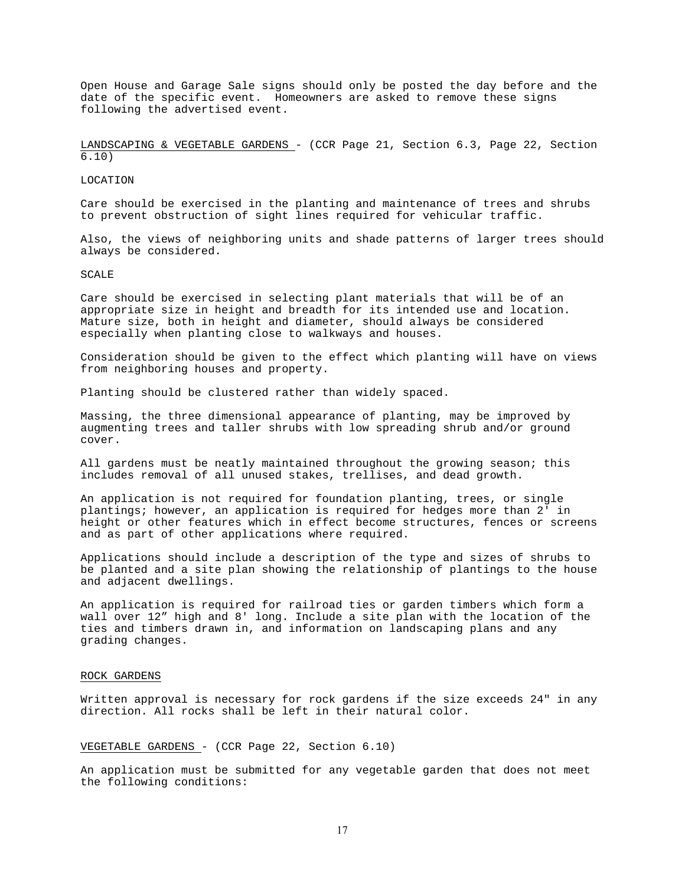Open House and Garage Sale signs should only be posted the day before and the date of the specific event. Homeowners are asked to remove these signs following the advertised event.

LANDSCAPING & VEGETABLE GARDENS - (CCR Page 21, Section 6.3, Page 22, Section 6.10)

LOCATION

Care should be exercised in the planting and maintenance of trees and shrubs to prevent obstruction of sight lines required for vehicular traffic.

Also, the views of neighboring units and shade patterns of larger trees should always be considered.

SCALE

Care should be exercised in selecting plant materials that will be of an appropriate size in height and breadth for its intended use and location. Mature size, both in height and diameter, should always be considered especially when planting close to walkways and houses.

Consideration should be given to the effect which planting will have on views from neighboring houses and property.

Planting should be clustered rather than widely spaced.

Massing, the three dimensional appearance of planting, may be improved by augmenting trees and taller shrubs with low spreading shrub and/or ground cover.

All gardens must be neatly maintained throughout the growing season; this includes removal of all unused stakes, trellises, and dead growth.

An application is not required for foundation planting, trees, or single plantings; however, an application is required for hedges more than 2' in height or other features which in effect become structures, fences or screens and as part of other applications where required.

Applications should include a description of the type and sizes of shrubs to be planted and a site plan showing the relationship of plantings to the house and adjacent dwellings.

An application is required for railroad ties or garden timbers which form a wall over 12" high and 8' long. Include a site plan with the location of the ties and timbers drawn in, and information on landscaping plans and any grading changes.

### ROCK GARDENS

Written approval is necessary for rock gardens if the size exceeds 24" in any direction. All rocks shall be left in their natural color.

### VEGETABLE GARDENS - (CCR Page 22, Section 6.10)

An application must be submitted for any vegetable garden that does not meet the following conditions: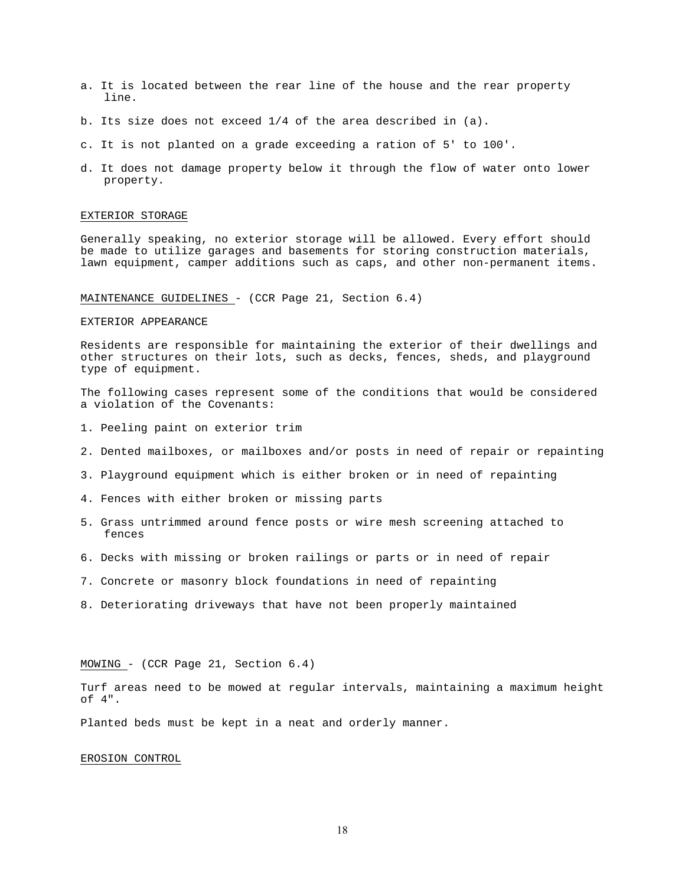- a. It is located between the rear line of the house and the rear property line.
- b. Its size does not exceed 1/4 of the area described in (a).
- c. It is not planted on a grade exceeding a ration of 5' to 100'.
- d. It does not damage property below it through the flow of water onto lower property.

### EXTERIOR STORAGE

Generally speaking, no exterior storage will be allowed. Every effort should be made to utilize garages and basements for storing construction materials, lawn equipment, camper additions such as caps, and other non-permanent items.

# MAINTENANCE GUIDELINES - (CCR Page 21, Section 6.4)

#### EXTERIOR APPEARANCE

Residents are responsible for maintaining the exterior of their dwellings and other structures on their lots, such as decks, fences, sheds, and playground type of equipment.

The following cases represent some of the conditions that would be considered a violation of the Covenants:

- 1. Peeling paint on exterior trim
- 2. Dented mailboxes, or mailboxes and/or posts in need of repair or repainting
- 3. Playground equipment which is either broken or in need of repainting
- 4. Fences with either broken or missing parts
- 5. Grass untrimmed around fence posts or wire mesh screening attached to fences
- 6. Decks with missing or broken railings or parts or in need of repair
- 7. Concrete or masonry block foundations in need of repainting
- 8. Deteriorating driveways that have not been properly maintained

## MOWING - (CCR Page 21, Section 6.4)

Turf areas need to be mowed at regular intervals, maintaining a maximum height of 4".

Planted beds must be kept in a neat and orderly manner.

#### EROSION CONTROL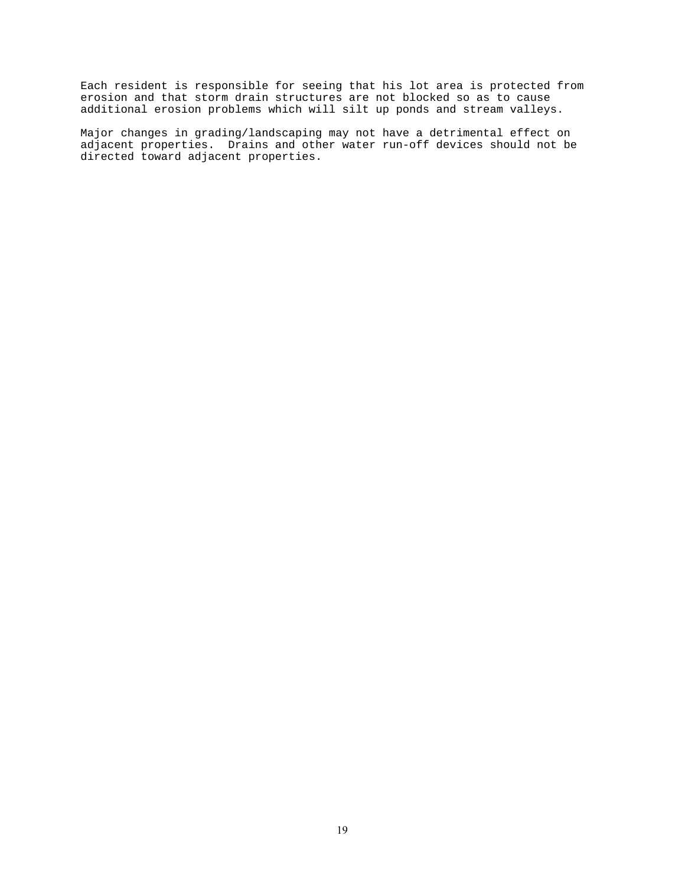Each resident is responsible for seeing that his lot area is protected from erosion and that storm drain structures are not blocked so as to cause additional erosion problems which will silt up ponds and stream valleys.

Major changes in grading/landscaping may not have a detrimental effect on adjacent properties. Drains and other water run-off devices should not be directed toward adjacent properties.